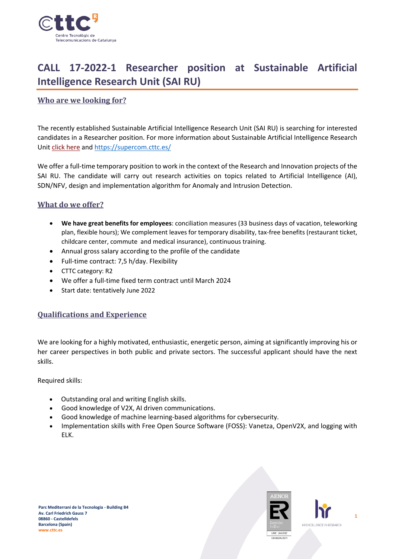

# **CALL 17-2022-1 Researcher position at Sustainable Artificial Intelligence Research Unit (SAI RU)**

## **Who are we looking for?**

The recently established Sustainable Artificial Intelligence Research Unit (SAI RU) is searching for interested candidates in a Researcher position. For more information about Sustainable Artificial Intelligence Research Unit [click here](https://www.cttc.cat/sustainable-artificial-intelligence-sai/) and<https://supercom.cttc.es/>

We offer a full-time temporary position to work in the context of the Research and Innovation projects of the SAI RU. The candidate will carry out research activities on topics related to Artificial Intelligence (AI), SDN/NFV, design and implementation algorithm for Anomaly and Intrusion Detection.

#### **What do we offer?**

- **We have great benefits for employees**: conciliation measures (33 business days of vacation, teleworking plan, flexible hours); We complement leaves for temporary disability, tax-free benefits (restaurant ticket, childcare center, commute and medical insurance), continuous training.
- Annual gross salary according to the profile of the candidate
- Full-time contract: 7,5 h/day. Flexibility
- CTTC category: R2
- We offer a full-time fixed term contract until March 2024
- Start date: tentatively June 2022

## **Qualifications and Experience**

We are looking for a highly motivated, enthusiastic, energetic person, aiming at significantly improving his or her career perspectives in both public and private sectors. The successful applicant should have the next skills.

Required skills:

- Outstanding oral and writing English skills.
- Good knowledge of V2X, AI driven communications.
- Good knowledge of machine learning-based algorithms for cybersecurity.
- Implementation skills with Free Open Source Software (FOSS): Vanetza, OpenV2X, and logging with ELK.



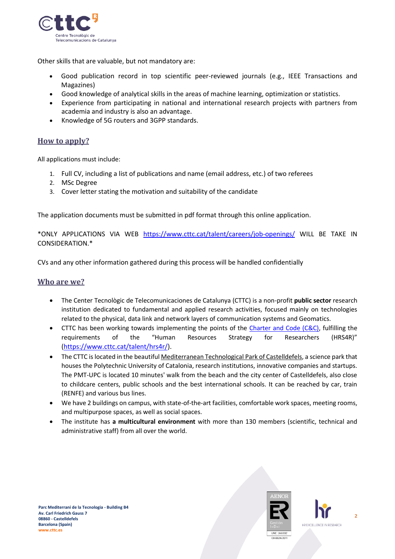

Other skills that are valuable, but not mandatory are:

- Good publication record in top scientific peer-reviewed journals (e.g., IEEE Transactions and Magazines)
- Good knowledge of analytical skills in the areas of machine learning, optimization or statistics.
- Experience from participating in national and international research projects with partners from academia and industry is also an advantage.
- Knowledge of 5G routers and 3GPP standards.

## **How to apply?**

All applications must include:

- 1. Full CV, including a list of publications and name (email address, etc.) of two referees
- 2. MSc Degree
- 3. Cover letter stating the motivation and suitability of the candidate

The application documents must be submitted in pdf format through this online application.

\*ONLY APPLICATIONS VIA WEB <https://www.cttc.cat/talent/careers/job-openings/> WILL BE TAKE IN CONSIDERATION.\*

CVs and any other information gathered during this process will be handled confidentially

#### **Who are we?**

- The Center Tecnològic de Telecomunicaciones de Catalunya (CTTC) is a non-profit **public sector** research institution dedicated to fundamental and applied research activities, focused mainly on technologies related to the physical, data link and network layers of communication systems and Geomatics.
- CTTC has been working towards implementing the points of the [Charter and Code \(C&C\),](https://euraxess.ec.europa.eu/jobs/charter-code-researchers) fulfilling the requirements of the "Human Resources Strategy for Researchers (HRS4R)" [\(https://www.cttc.cat/talent/hrs4r/\)](https://www.cttc.cat/talent/hrs4r/).
- The CTTC is located in the beautiful Mediterranean Technological Park of Castelldefels, a science park that houses the Polytechnic University of Catalonia, research institutions, innovative companies and startups. The PMT-UPC is located 10 minutes' walk from the beach and the city center of Castelldefels, also close to childcare centers, public schools and the best international schools. It can be reached by car, train (RENFE) and various bus lines.
- We have 2 buildings on campus, with state-of-the-art facilities, comfortable work spaces, meeting rooms, and multipurpose spaces, as well as social spaces.
- The institute has **a multicultural environment** with more than 130 members (scientific, technical and administrative staff) from all over the world.



**2**